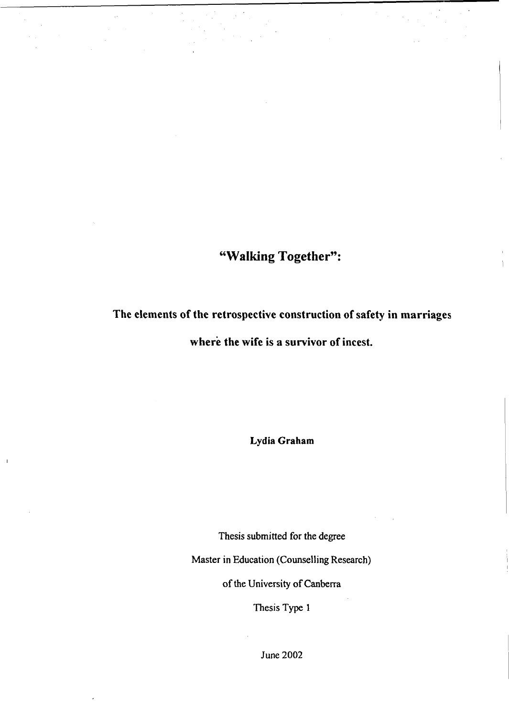# **"Walking Together":**

**The elements of the retrospective construction of safety in marriages**

where the wife is a survivor of incest.

**Lydia Graham**

Thesis submitted for the degree

Master in Education (Counselling Research)

of the University of Canberra

Thesis Type 1

June 2002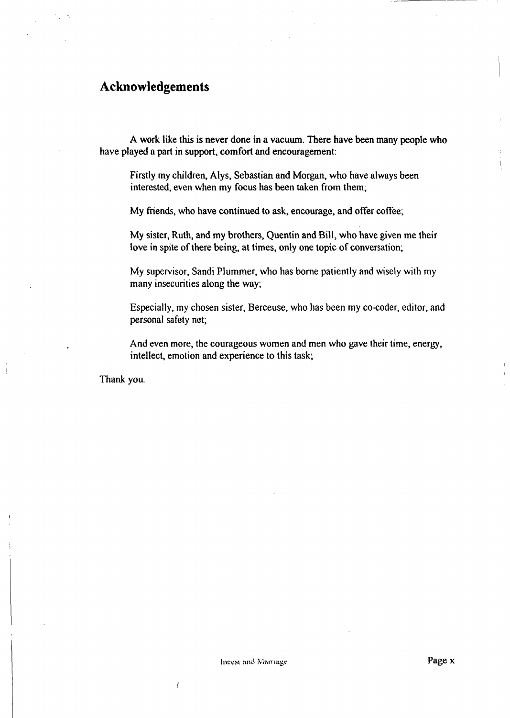#### **Acknowledgements**

A work like this is never done in a vacuum. There have been many people who have played a part in support, comfort and encouragement:

Firstly my children, Alys, Sebastian and Morgan, who have always been interested, even when my focus has been taken from them;

My friends, who have continued to ask, encourage, and offer coffee;

My sister, Ruth, and my brothers, Quentin and Bill, who have given me their love in spite of there being, at times, only one topic of conversation;

My supervisor, Sandi Plummer, who has borne patiently and wisely with my many insecurities along the way;

Especially, my chosen sister, Berceuse, who has been my co-coder, editor, and personal safety net;

And even more, the courageous women and men who gave their time, energy, intellect, emotion and experience to this task;

Thank you.

 $\overline{1}$ 

 $\prime$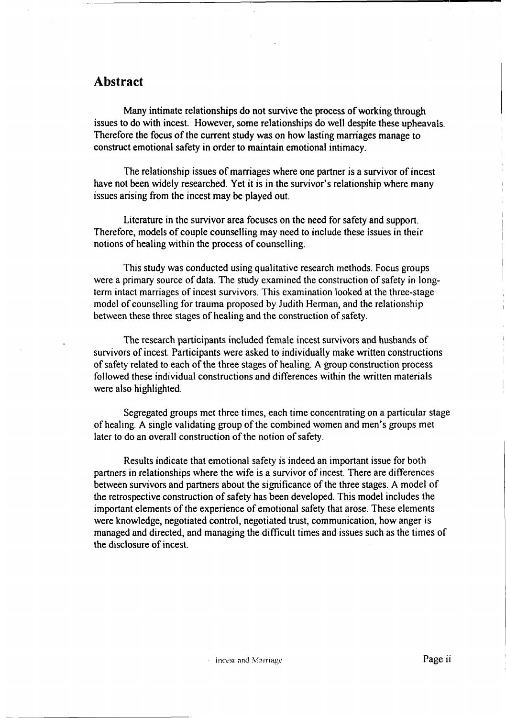#### **Abstract**

Many intimate relationships do not survive the process of working through issues to do with incest. However, some relationships do well despite these upheavals. Therefore the focus of the current study was on how lasting marriages manage to construct emotional safety in order to maintain emotional intimacy.

The relationship issues of marriages where one partner is a survivor of incest have not been widely researched. Yet it is in the survivor's relationship where many issues arising from the incest may be played out.

Literature in the survivor area focuses on the need for safety and support. Therefore, models of couple counselling may need to include these issues in their notions of healing within the process of counselling.

This study was conducted using qualitative research methods. Focus groups were a primary source of data. The study examined the construction of safety in longterm intact marriages of incest survivors. This examination looked at the three-stage model of counselling for trauma proposed by Judith Herman, and the relationship between these three stages of healing and the construction of safety.

The research participants included female incest survivors and husbands of survivors of incest. Participants were asked to individually make written constructions of safety related to each of the three stages of healing. A group construction process followed these individual constructions and differences within the written materials were also highlighted.

Segregated groups met three times, each time concentrating on a particular stage of healing. A single validating group of the combined women and men's groups met later to do an overall construction of the notion of safety.

Results indicate that emotional safety is indeed an important issue for both partners in relationships where the wife is a survivor of incest. There are differences between survivors and partners about the significance of the three stages. A model of the retrospective construction of safety has been developed. This model includes the important elements of the experience of emotional safety that arose. These elements were knowledge, negotiated control, negotiated trust, communication, how anger is managed and directed, and managing the difficult times and issues such as the times of the disclosure of incest.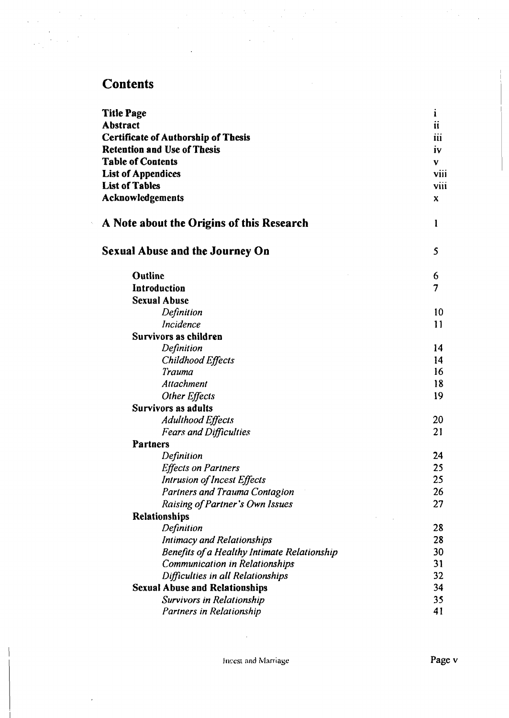# **Contents**

 $\label{eq:2.1} \frac{1}{\sqrt{2\pi}}\left(\frac{1}{\sqrt{2\pi}}\right)^{2/3}\frac{1}{\sqrt{2\pi}}\left(\frac{1}{\sqrt{2\pi}}\right)^{2/3}\frac{1}{\sqrt{2\pi}}.$ 

 $\ddot{\phantom{a}}$ 

| <b>Title Page</b>                           | 1                   |
|---------------------------------------------|---------------------|
| <b>Abstract</b>                             | $\ddot{\mathbf{u}}$ |
| <b>Certificate of Authorship of Thesis</b>  | 111                 |
| <b>Retention and Use of Thesis</b>          | <b>iv</b>           |
| <b>Table of Contents</b>                    | V                   |
| <b>List of Appendices</b>                   | viii                |
| <b>List of Tables</b>                       | <b>VIII</b>         |
| Acknowledgements                            | X                   |
| A Note about the Origins of this Research   | l                   |
| <b>Sexual Abuse and the Journey On</b>      | 5                   |
| <b>Outline</b>                              | 6                   |
| Introduction                                | 7                   |
| <b>Sexual Abuse</b>                         |                     |
| Definition                                  | 10                  |
| Incidence                                   | 11                  |
| Survivors as children                       |                     |
| Definition                                  | 14                  |
| Childhood Effects                           | 14                  |
| Trauma                                      | 16                  |
| Attachment                                  | 18                  |
| Other Effects                               | 19                  |
| Survivors as adults                         |                     |
| Adulthood Effects                           | 20                  |
| <b>Fears and Difficulties</b>               | 21                  |
| <b>Partners</b>                             |                     |
| Definition                                  | 24                  |
| <b>Effects on Partners</b>                  | 25                  |
| Intrusion of Incest Effects                 | 25                  |
| Partners and Trauma Contagion               | 26                  |
| Raising of Partner's Own Issues             | 27                  |
| Relationships                               |                     |
| Definition                                  | 28                  |
| <b>Intimacy and Relationships</b>           | 28                  |
| Benefits of a Healthy Intimate Relationship | 30                  |
| <b>Communication in Relationships</b>       | 31                  |
| Difficulties in all Relationships           | 32                  |
| <b>Sexual Abuse and Relationships</b>       | 34                  |
| <b>Survivors in Relationship</b>            | 35<br>41            |
| Partners in Relationship                    |                     |

 $\mathcal{L}$ 

 $\overline{a}$ 

 $\bar{a}$ 

 $\sim$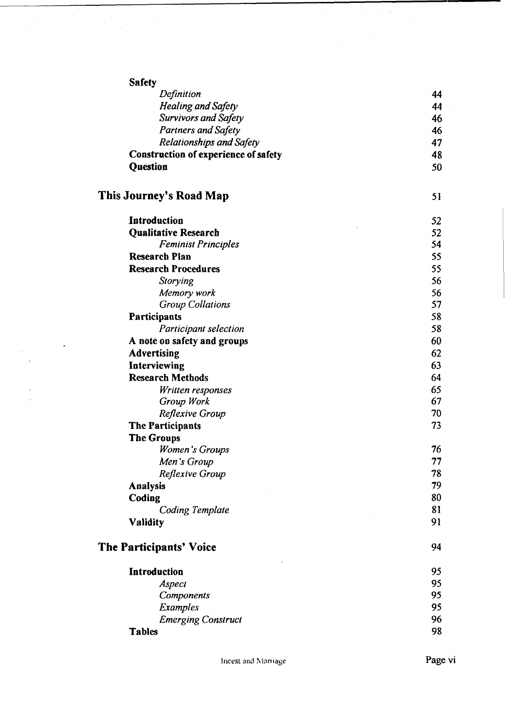| <b>Safety</b>                        |    |
|--------------------------------------|----|
| Definition                           | 44 |
| <b>Healing and Safety</b>            | 44 |
| <b>Survivors and Safety</b>          | 46 |
| <b>Partners and Safety</b>           | 46 |
| <b>Relationships and Safety</b>      | 47 |
| Construction of experience of safety | 48 |
| Question                             | 50 |
| This Journey's Road Map              | 51 |
| Introduction                         | 52 |
| <b>Qualitative Research</b>          | 52 |
| <b>Feminist Principles</b>           | 54 |
| <b>Research Plan</b>                 | 55 |
| <b>Research Procedures</b>           | 55 |
| Storying                             | 56 |
| Memory work                          | 56 |
| <b>Group Collations</b>              | 57 |
| <b>Participants</b>                  | 58 |
| Participant selection                | 58 |
| A note on safety and groups          | 60 |
| <b>Advertising</b>                   | 62 |
| Interviewing                         | 63 |
| <b>Research Methods</b>              | 64 |
| Written responses                    | 65 |
| Group Work                           | 67 |
| Reflexive Group                      | 70 |
| The Participants                     | 73 |
| <b>The Groups</b>                    |    |
| Women's Groups                       | 76 |
| Men's Group                          | 77 |
| Reflexive Group                      | 78 |
| <b>Analysis</b>                      | 79 |
| Coding                               | 80 |
| <b>Coding Template</b>               | 81 |
| <b>Validity</b>                      | 91 |
| <b>The Participants' Voice</b>       | 94 |
| Introduction                         | 95 |
| Aspect                               | 95 |
| Components                           | 95 |
| <b>Examples</b>                      | 95 |
| <b>Emerging Construct</b>            | 96 |
| <b>Tables</b>                        | 98 |

 $\lambda$ 

 $\ddot{\phantom{1}}$ 

 $\hat{\mathbf{r}}$ 

 $\hat{\mathcal{A}}$ 

 $\frac{1}{2}$ 

 $\frac{1}{2}$  .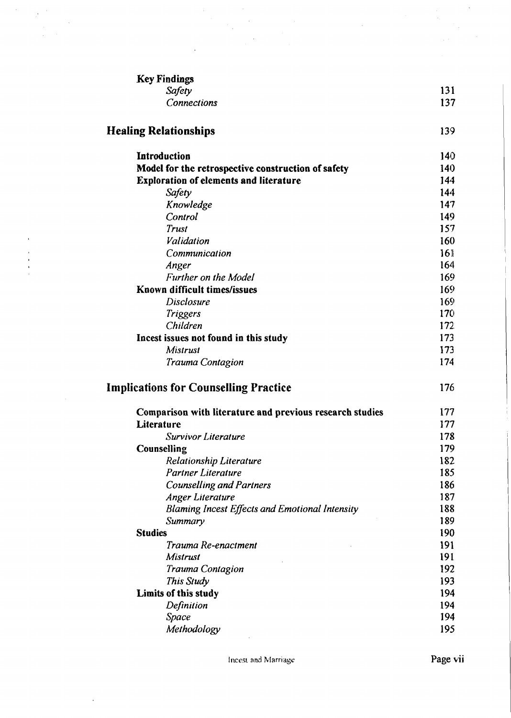| <b>Key Findings</b>                                      |                 |
|----------------------------------------------------------|-----------------|
| Safety                                                   | 131             |
| <b>Connections</b>                                       | 137             |
| <b>Healing Relationships</b>                             | 139             |
| <b>Introduction</b>                                      | 140             |
| Model for the retrospective construction of safety       | 140             |
| <b>Exploration of elements and literature</b>            | 144             |
| Safety                                                   | 144             |
| Knowledge                                                | 147             |
| Control                                                  | 149             |
| Trust                                                    | 157             |
| Validation                                               | 160             |
| Communication                                            | 16 <sup>1</sup> |
| Anger                                                    | 164             |
| Further on the Model                                     | 169             |
| Known difficult times/issues                             | 169             |
| Disclosure                                               | 169             |
| <b>Triggers</b>                                          | 170             |
| Children                                                 | 172             |
| Incest issues not found in this study                    | 173             |
| Mistrust                                                 | 173             |
| Trauma Contagion                                         | 174             |
| <b>Implications for Counselling Practice</b>             | 176             |
| Comparison with literature and previous research studies | 177             |
| Literature                                               | 177             |
| Survivor Literature                                      | 178             |
| Counselling                                              | 179             |
| <b>Relationship Literature</b>                           | 182             |
| <b>Partner Literature</b>                                | 185             |
| <b>Counselling and Partners</b>                          | 186             |
| Anger Literature                                         | 187             |
| <b>Blaming Incest Effects and Emotional Intensity</b>    | 188             |
| Summary                                                  | 189             |
| <b>Studies</b>                                           | 190             |
| Trauma Re-enactment                                      | 191             |
| Mistrust                                                 | 191             |
| Trauma Contagion                                         | 192             |
| This Study                                               | 193             |
| Limits of this study                                     | 194             |
| Definition                                               | 194             |
| Space                                                    | 194             |
| Methodology                                              | 195             |
|                                                          |                 |

 $\hat{\phi}$ 

 $\ddot{\phantom{a}}$ 

 $\sqrt{3}$ 

 $\begin{array}{c} 1 \\ 1 \\ 3 \\ 4 \\ 5 \end{array}$ 

 $\bar{\mathcal{L}}$ 

 $\mathcal{A}$ 

Incest and Marriage **Page vii**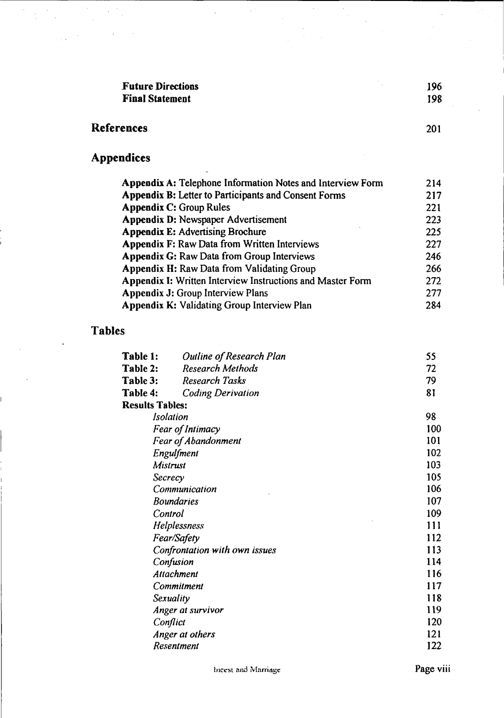| <b>Future Directions</b> | 196 |
|--------------------------|-----|
| <b>Final Statement</b>   | 198 |

 $\mathcal{L}^2$ 

 $\ddot{\phantom{0}}$ 

 $\bar{z}$ 

 $\bar{\alpha}$ 

### **References** 201

 $\bar{\beta}$ 

 $\bar{z}$ 

 $\frac{1}{\sqrt{2}}$  $\hat{\mathcal{A}}$ 

Ľ.

 $\frac{1}{2\sqrt{2}}\left(\frac{1}{2}\right)^2$ 

# **Appendices**

| <b>Appendix A: Telephone Information Notes and Interview Form</b> | 214 |
|-------------------------------------------------------------------|-----|
| <b>Appendix B:</b> Letter to Participants and Consent Forms       | 217 |
| <b>Appendix C: Group Rules</b>                                    | 221 |
| <b>Appendix D: Newspaper Advertisement</b>                        | 223 |
| <b>Appendix E: Advertising Brochure</b>                           | 225 |
| <b>Appendix F: Raw Data from Written Interviews</b>               | 227 |
| <b>Appendix G: Raw Data from Group Interviews</b>                 | 246 |
| <b>Appendix H: Raw Data from Validating Group</b>                 | 266 |
| <b>Appendix I: Written Interview Instructions and Master Form</b> | 272 |
| <b>Appendix J: Group Interview Plans</b>                          | 277 |
| <b>Appendix K: Validating Group Interview Plan</b>                | 284 |

### **Tables**

| Table 1:               | Outline of Research Plan      | 55  |
|------------------------|-------------------------------|-----|
| Table 2:               | <b>Research Methods</b>       | 72  |
| Table 3:               | <b>Research Tasks</b>         | 79  |
| Table 4:               | <b>Coding Derivation</b>      | 81  |
| <b>Results Tables:</b> |                               |     |
|                        | Isolation                     | 98  |
|                        | Fear of Intimacy              | 100 |
|                        | <b>Fear of Abandonment</b>    | 101 |
|                        | Engulfment                    | 102 |
|                        | Mistrust                      | 103 |
|                        | Secrecy                       | 105 |
|                        | Communication                 | 106 |
|                        | <b>Boundaries</b>             | 107 |
|                        | Control                       | 109 |
|                        | Helplessness                  | 111 |
|                        | Fear/Safety                   | 112 |
|                        | Confrontation with own issues | 113 |
|                        | Confusion                     | 114 |
|                        | Attachment                    | 116 |
|                        | Commitment                    | 117 |
|                        | Sexuality                     | 118 |
|                        | Anger at survivor             | 119 |
|                        | Conflict                      | 120 |
|                        | Anger at others               | 121 |
|                        | Resentment                    | 122 |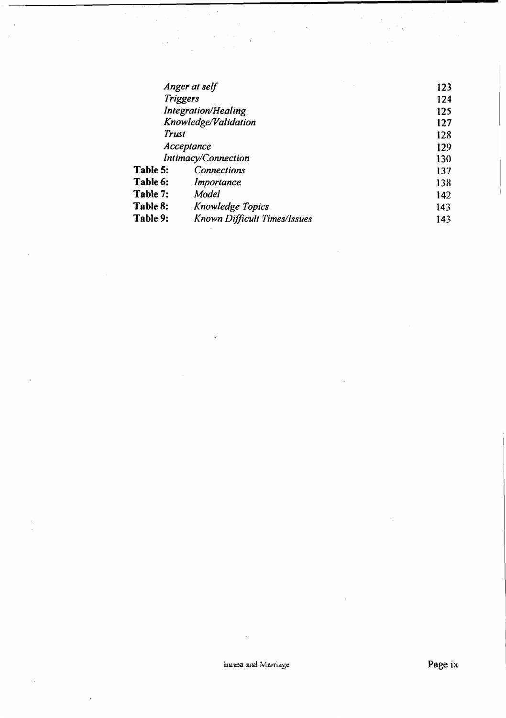| Anger at self              |                              | 123 |
|----------------------------|------------------------------|-----|
| <b>Triggers</b>            |                              | 124 |
| <b>Integration/Healing</b> |                              | 125 |
| Knowledge/Validation       |                              | 127 |
| Trust                      |                              | 123 |
| Acceptance                 |                              | 129 |
|                            | Intimacy/Connection          | 130 |
| Table 5:                   | <b>Connections</b>           | 137 |
| Table 6:                   | Importance                   | 138 |
| Table 7:                   | Model                        | 142 |
| Table 8:                   | Knowledge Topics             | 143 |
| Table 9:                   | Known Difficult Times/Issues | 143 |

 $\ddot{\phantom{a}}$ 

 $\bar{z}$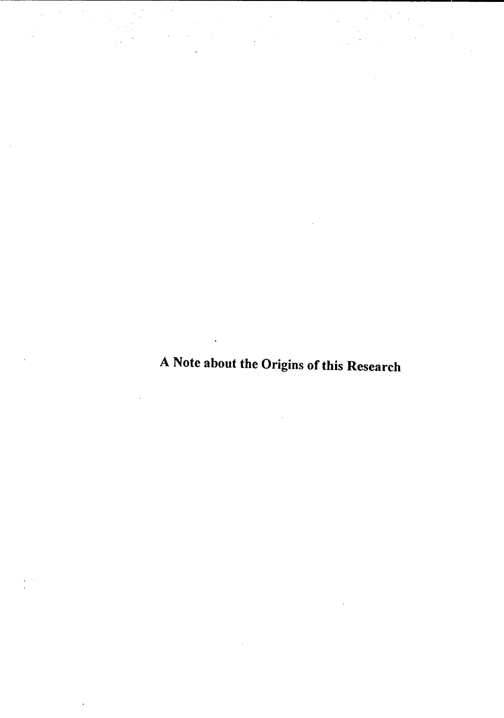A Note about the Origins of this Research

 $\frac{1}{2}$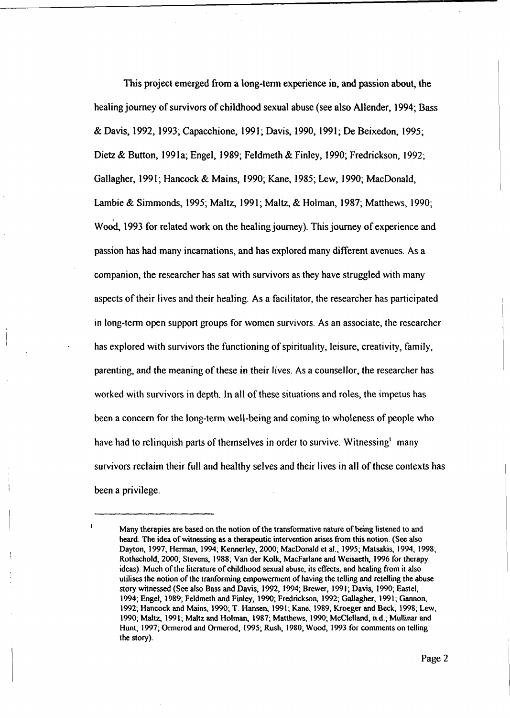This project emerged from a long-term experience in, and passion about, the healing journey of survivors of childhood sexual abuse (see also Allender, 1994; Bass & Davis, 1992, 1993; Capacchione, 1991; Davis, 1990,1991; De Beixedon, 1995; Dietz & Button, 199la; Engel, 1989; Feldmeth & Finley, 1990; Fredrickson, 1992; Gallagher, 1991; Hancock & Mains, 1990; Kane, 1985; Lew, 1990; MacDonald, Lambie & Simmonds, 1995; Maltz, 1991; Maltz, & Holman, 1987; Matthews, 1990; Wood, 1993 for related work on the healing journey). This journey of experience and passion has had many incarnations, and has explored many different avenues. As a companion, the researcher has sat with survivors as they have struggled with many aspects of their lives and their healing. As a facilitator, the researcher has participated in long-term open support groups for women survivors. As an associate, the researcher has explored with survivors the functioning of spirituality, leisure, creativity, family, parenting, and the meaning of these in their lives. As a counsellor, the researcher has worked with survivors in depth. In all of these situations and roles, the impetus has been a concern for the long-term well-being and coming to wholeness of people who have had to relinquish parts of themselves in order to survive. Witnessing many survivors reclaim their full and healthy selves and their lives in all of these contexts has been a privilege.

Many therapies are based on the notion of the transformative nature of being listened to and heard. The idea of witnessing as a therapeutic intervention arises from this notion. (See also Dayton, 1997; Herman, 1994; Kennerley, 2000; MacDonald et al., 1995; Matsakis, 1994, 1998; Rothschold, 2000; Stevens, 1988; Van der Kolk, MacFarlane and Weisaeth, 1996 for therapy ideas). Much of the literature of childhood sexual abuse, its effects, and healing from it also utilises the notion of the tranforming empowerment of having the telling and retelling the abuse story witnessed (See also Bass and Davis, 1992, 1994; Brewer, 1991; Davis, 1990; Eastel, 1994; Engel, 1989, Feldmeth and Finley, 1990; Fredrickson, 1992; Gallagher, 1991; Gannon, 1992; Hancock and Mains, 1990; T. Hansen, 1991; Kane, 1989, Kroeger and Beck, 1998; Lew, 1990; Maltz, 1991; Maltz and Holman, 1987; Matthews, 1990; McClelland, n.d.; Mullinar and Hunt, 1997; Ormerod and Ormerod, 1995; Rush, 1980, Wood, 1993 for comments on telling the story).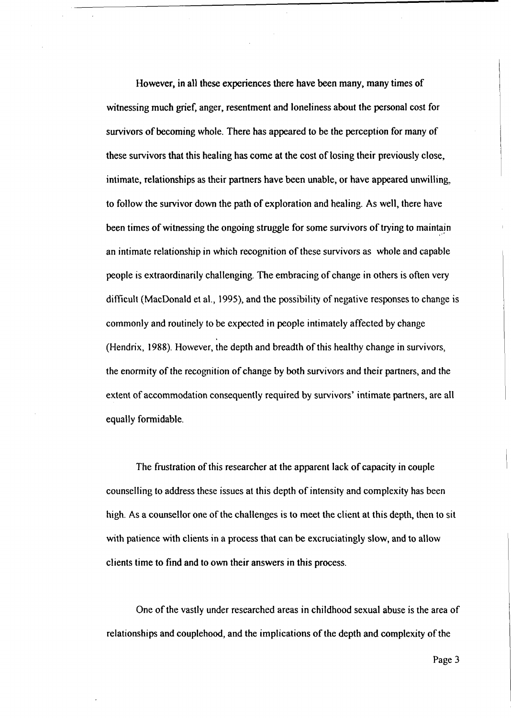However, in all these experiences there have been many, many times of witnessing much grief, anger, resentment and loneliness about the personal cost for survivors of becoming whole. There has appeared to be the perception for many of these survivors that this healing has come at the cost of losing their previously close, intimate, relationships as their partners have been unable, or have appeared unwilling, to follow the survivor down the path of exploration and healing. As well, there have been times of witnessing the ongoing struggle for some survivors of trying to maintain an intimate relationship in which recognition of these survivors as whole and capable people is extraordinarily challenging. The embracing of change in others is often very difficult (MacDonald et al., 1995), and the possibility of negative responses to change is commonly and routinely to be expected in people intimately affected by change (Hendrix, 1988). However, the depth and breadth of this healthy change in survivors, the enormity of the recognition of change by both survivors and their partners, and the extent of accommodation consequently required by survivors' intimate partners, are all equally formidable.

The frustration of this researcher at the apparent lack of capacity in couple counselling to address these issues at this depth of intensity and complexity has been high. As a counsellor one of the challenges is to meet the client at this depth, then to sit with patience with clients in a process that can be excruciatingly slow, and to allow clients time to find and to own their answers in this process.

One of the vastly under researched areas in childhood sexual abuse is the area of relationships and couple hood, and the implications of the depth and complexity of the